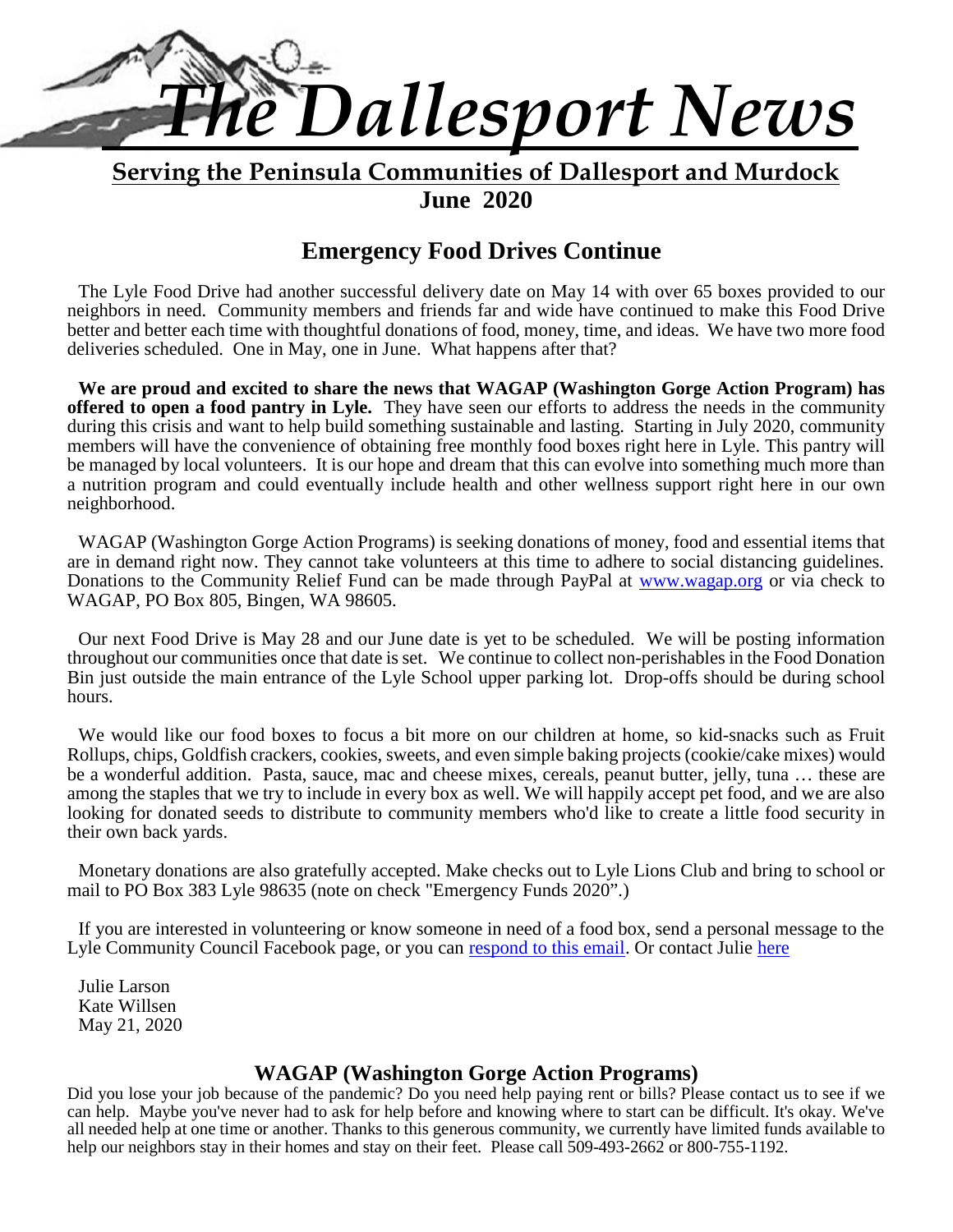

**Serving the Peninsula Communities of Dallesport and Murdock June 2020**

# **Emergency Food Drives Continue**

The Lyle Food Drive had another successful delivery date on May 14 with over 65 boxes provided to our neighbors in need. Community members and friends far and wide have continued to make this Food Drive better and better each time with thoughtful donations of food, money, time, and ideas. We have two more food deliveries scheduled. One in May, one in June. What happens after that?

**We are proud and excited to share the news that WAGAP (Washington Gorge Action Program) has offered to open a food pantry in Lyle.** They have seen our efforts to address the needs in the community during this crisis and want to help build something sustainable and lasting. Starting in July 2020, community members will have the convenience of obtaining free monthly food boxes right here in Lyle. This pantry will be managed by local volunteers. It is our hope and dream that this can evolve into something much more than a nutrition program and could eventually include health and other wellness support right here in our own neighborhood.

WAGAP (Washington Gorge Action Programs) is seeking donations of money, food and essential items that are in demand right now. They cannot take volunteers at this time to adhere to social distancing guidelines. Donations to the Community Relief Fund can be made through PayPal at www.wagap.org or via check to WAGAP, PO Box 805, Bingen, WA 98605.

Our next Food Drive is May 28 and our June date is yet to be scheduled. We will be posting information throughout our communities once that date isset. We continue to collect non-perishables in the Food Donation Bin just outside the main entrance of the Lyle School upper parking lot. Drop-offs should be during school hours.

We would like our food boxes to focus a bit more on our children at home, so kid-snacks such as Fruit Rollups, chips, Goldfish crackers, cookies, sweets, and even simple baking projects (cookie/cake mixes) would be a wonderful addition. Pasta, sauce, mac and cheese mixes, cereals, peanut butter, jelly, tuna … these are among the staples that we try to include in every box as well. We will happily accept pet food, and we are also looking for donated seeds to distribute to community members who'd like to create a little food security in their own back yards.

Monetary donations are also gratefully accepted. Make checks out to Lyle Lions Club and bring to school or mail to PO Box 383 Lyle 98635 (note on check "Emergency Funds 2020".)

If you are interested in volunteering or know someone in need of a food box, send a personal message to the Lyle Community Council Facebook page, or you can respond to this email. Or contact Julie here

Julie Larson Kate Willsen May 21, 2020

# **WAGAP (Washington Gorge Action Programs)**

Did you lose your job because of the pandemic? Do you need help paying rent or bills? Please contact us to see if we can help. Maybe you've never had to ask for help before and knowing where to start can be difficult. It's okay. We've all needed help at one time or another. Thanks to this generous community, we currently have limited funds available to help our neighbors stay in their homes and stay on their feet. Please call 509-493-2662 or 800-755-1192.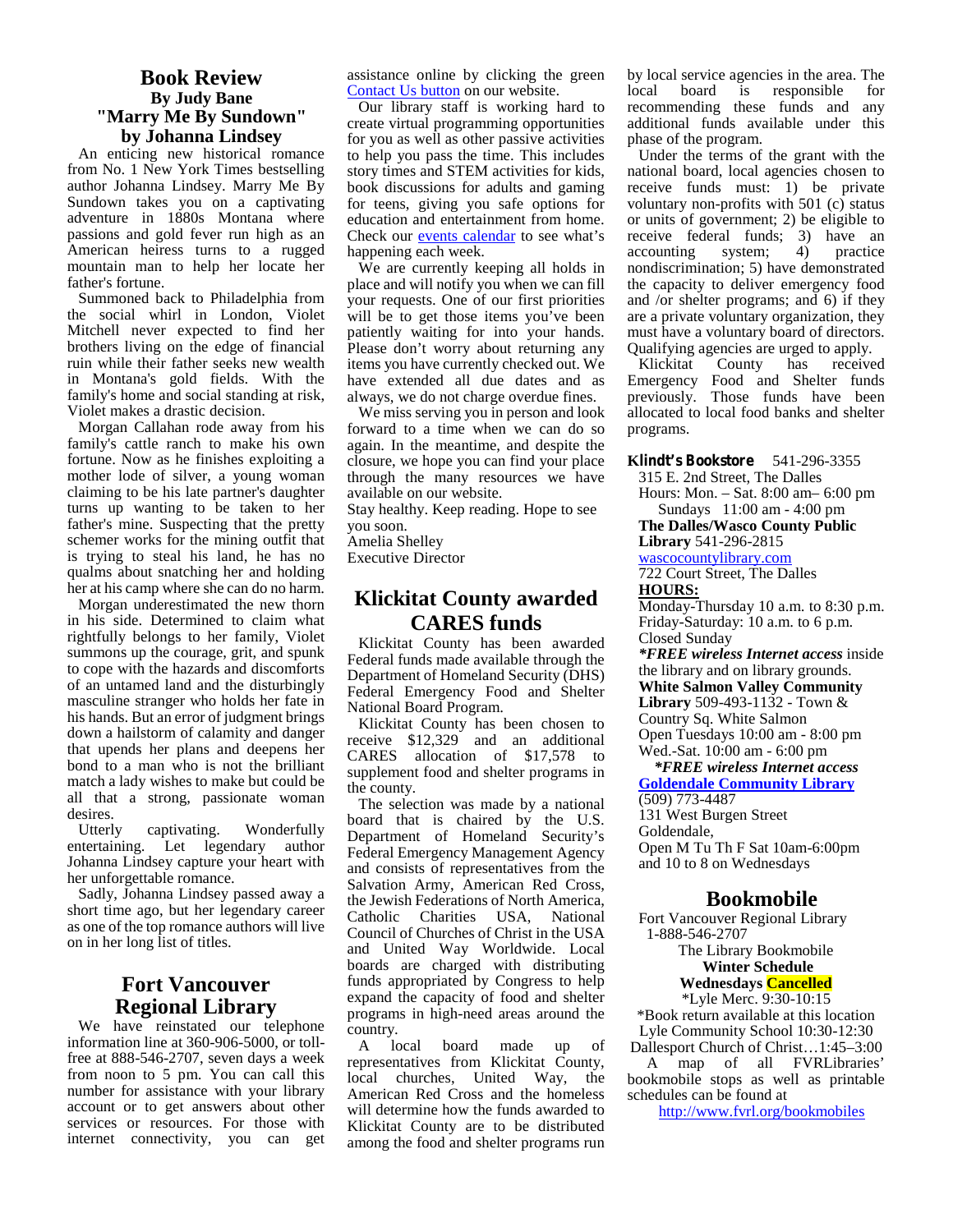### **Book Review By Judy Bane "Marry Me By Sundown" by Johanna Lindsey**

An enticing new historical romance from No. 1 New York Times bestselling author Johanna Lindsey. Marry Me By Sundown takes you on a captivating adventure in 1880s Montana where passions and gold fever run high as an American heiress turns to a rugged mountain man to help her locate her father's fortune.

Summoned back to Philadelphia from the social whirl in London, Violet Mitchell never expected to find her brothers living on the edge of financial ruin while their father seeks new wealth in Montana's gold fields. With the family's home and social standing at risk, Violet makes a drastic decision.

Morgan Callahan rode away from his family's cattle ranch to make his own fortune. Now as he finishes exploiting a mother lode of silver, a young woman claiming to be his late partner's daughter turns up wanting to be taken to her father's mine. Suspecting that the pretty schemer works for the mining outfit that is trying to steal his land, he has no qualms about snatching her and holding her at his camp where she can do no harm.

Morgan underestimated the new thorn in his side. Determined to claim what rightfully belongs to her family, Violet summons up the courage, grit, and spunk to cope with the hazards and discomforts of an untamed land and the disturbingly masculine stranger who holds her fate in his hands. But an error of judgment brings down a hailstorm of calamity and danger that upends her plans and deepens her bond to a man who is not the brilliant match a lady wishes to make but could be all that a strong, passionate woman desires.

Utterly captivating. Wonderfully entertaining. Let legendary author Johanna Lindsey capture your heart with her unforgettable romance.

Sadly, Johanna Lindsey passed away a short time ago, but her legendary career as one of the top romance authors will live on in her long list of titles.

# **Fort Vancouver Regional Library**

We have reinstated our telephone information line at 360-906-5000, or tollinformation line at 360-906-5000, or toll-<br>free at 888-546-2707, seven days a week  $\tau_{\text{rebin}}$ from noon to 5 pm. You can call this number for assistance with your library account or to get answers about other services or resources. For those with internet connectivity, you can get

assistance online by clicking the green Contact Us button on our website.

Our library staff is working hard to create virtual programming opportunities for you as well as other passive activities to help you pass the time. This includes story times and STEM activities for kids, book discussions for adults and gaming for teens, giving you safe options for education and entertainment from home. Check our events calendar to see what's happening each week.

We are currently keeping all holds in place and will notify you when we can fill your requests. One of our first priorities will be to get those items you've been patiently waiting for into your hands. Please don't worry about returning any items you have currently checked out. We have extended all due dates and as always, we do not charge overdue fines.

We miss serving you in person and look forward to a time when we can do so again. In the meantime, and despite the closure, we hope you can find your place through the many resources we have available on our website.

Stay healthy. Keep reading. Hope to see you soon.

Amelia Shelley

Executive Director

# **Klickitat County awarded CARES funds**

Klickitat County has been awarded Federal funds made available through the Department of Homeland Security (DHS) Federal Emergency Food and Shelter National Board Program.

Klickitat County has been chosen to receive \$12,329 and an additional CARES allocation of \$17,578 to  $W_{\infty}^{\text{eq}}$ supplement food and shelter programs in the county.

The selection was made by a national board that is chaired by the U.S. Department of Homeland Security's  $\frac{Q}{Q}$ Federal Emergency Management Agency and consists of representatives from the Salvation Army, American Red Cross, the Jewish Federations of North America, Catholic Charities USA, National Council of Churches of Christ in the USA and United Way Worldwide. Local boards are charged with distributing funds appropriated by Congress to help expand the capacity of food and shelter programs in high-need areas around the country.

local board made up of representatives from Klickitat County, local churches, United Way, the American Red Cross and the homeless will determine how the funds awarded to Klickitat County are to be distributed among the food and shelter programs run by local service agencies in the area. The local board is responsible for recommending these funds and any additional funds available under this phase of the program.

Under the terms of the grant with the national board, local agencies chosen to receive funds must: 1) be private voluntary non-profits with 501 (c) status or units of government; 2) be eligible to receive federal funds; 3) have an accounting system; 4) practice nondiscrimination; 5) have demonstrated the capacity to deliver emergency food and /or shelter programs; and 6) if they are a private voluntary organization, they must have a voluntary board of directors. Qualifying agencies are urged to apply.

Klickitat County has received Emergency Food and Shelter funds previously. Those funds have been allocated to local food banks and shelter programs.

**Klindt's Bookstore** 541-296-3355 315 E. 2nd Street, The Dalles Hours: Mon. – Sat.8:00 am– 6:00 pm Sundays 11:00 am - 4:00 pm **The Dalles/Wasco County Public**

**Library** 541-296-2815

wascocountylibrary.com

722 Court Street, The Dalles **HOURS:**

Monday-Thursday 10 a.m. to 8:30 p.m. Friday-Saturday: 10 a.m. to 6 p.m. Closed Sunday

*\*FREE wireless Internet access* inside the library and on library grounds. **White Salmon Valley Community Library** 509-493-1132 - Town & Country Sq. White Salmon Open Tuesdays 10:00 am - 8:00 pm

Wed.-Sat. 10:00 am - 6:00 pm

*\*FREE wireless Internet access* **Goldendale Community Library** (509) 773-4487 131 West Burgen Street Goldendale, Open M Tu Th F Sat 10am-6:00pm and 10 to 8 on Wednesdays

# **Bookmobile**

Fort Vancouver Regional Library 1-888-546-2707

The Library Bookmobile **Winter Schedule**

**Wednesdays Cancelled**

\*Lyle Merc. 9:30-10:15 \*Book return available at this location Lyle Community School 10:30-12:30 Dallesport Church of Christ…1:45–3:00 A map of all FVRLibraries'

bookmobile stops as well as printable schedules can be found at

http://www.fvrl.org/bookmobiles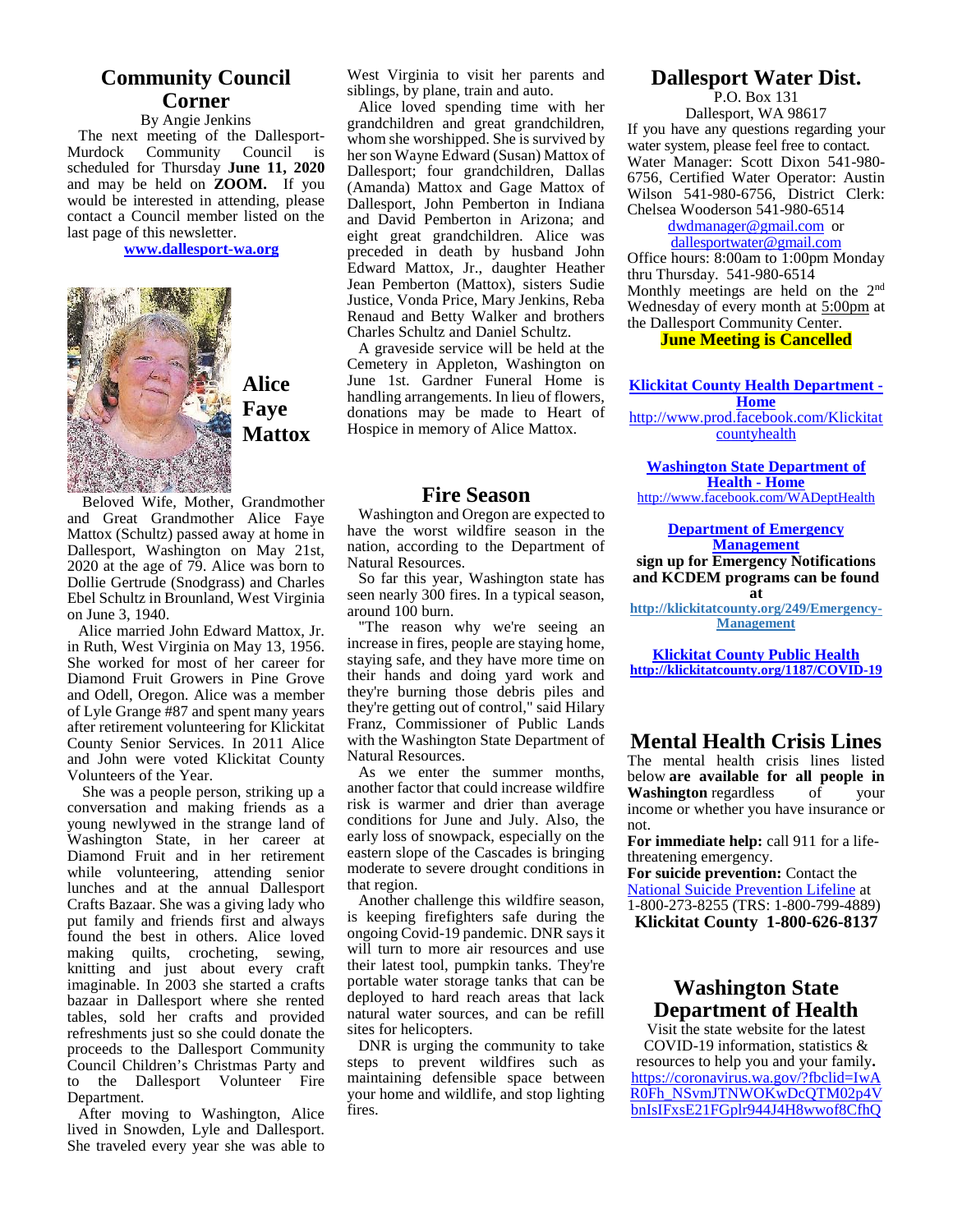# **Community Council Corner**

By Angie Jenkins The next meeting of the Dallesport-<br>furdock Community Council is Murdock Community scheduled for Thursday **June 11, 2020** and may be held on **ZOOM.** If you would be interested in attending, please contact a Council member listed on the last page of this newsletter.

**www.dallesport-wa.org**



**Alice Faye Mattox**

Beloved Wife, Mother, Grandmother and Great Grandmother Alice Faye Mattox (Schultz) passed away at home in Dallesport, Washington on May 21st, 2020 at the age of 79. Alice was born to Dollie Gertrude (Snodgrass) and Charles Ebel Schultz in Brounland, West Virginia on June 3, 1940.

Alice married John Edward Mattox, Jr. in Ruth, West Virginia on May 13, 1956. She worked for most of her career for Diamond Fruit Growers in Pine Grove and Odell, Oregon. Alice was a member of Lyle Grange #87 and spent many years after retirement volunteering for Klickitat County Senior Services. In 2011 Alice and John were voted Klickitat County Volunteers of the Year.

She was a people person, striking up a conversation and making friends as a young newlywed in the strange land of Washington State, in her career at Diamond Fruit and in her retirement while volunteering, attending senior lunches and at the annual Dallesport Crafts Bazaar. She was a giving lady who put family and friends first and always found the best in others. Alice loved making quilts, crocheting, sewing, knitting and just about every craft imaginable. In 2003 she started a crafts bazaar in Dallesport where she rented tables, sold her crafts and provided refreshments just so she could donate the proceeds to the Dallesport Community Council Children's Christmas Party and to the Dallesport Volunteer Fire Department.

After moving to Washington, Alice lived in Snowden, Lyle and Dallesport. She traveled every year she was able to West Virginia to visit her parents and siblings, by plane, train and auto.

Alice loved spending time with her grandchildren and great grandchildren, whom she worshipped. She is survived by her son Wayne Edward (Susan) Mattox of Dallesport; four grandchildren, Dallas (Amanda) Mattox and Gage Mattox of Dallesport, John Pemberton in Indiana and David Pemberton in Arizona; and eight great grandchildren. Alice was preceded in death by husband John Edward Mattox, Jr., daughter Heather Jean Pemberton (Mattox), sisters Sudie Justice, Vonda Price, Mary Jenkins, Reba Renaud and Betty Walker and brothers Charles Schultz and Daniel Schultz.

A graveside service will be held at the Cemetery in Appleton, Washington on June 1st. Gardner Funeral Home is handling arrangements. In lieu of flowers, donations may be made to Heart of Hospice in memory of Alice Mattox.

#### **Fire Season**

Washington and Oregon are expected to have the worst wildfire season in the nation, according to the Department of Natural Resources.

So far this year, Washington state has seen nearly 300 fires. In a typical season, around 100 burn.

"The reason why we're seeing an increase in fires, people are staying home, staying safe, and they have more time on their hands and doing yard work and they're burning those debris piles and they're getting out of control," said Hilary Franz, Commissioner of Public Lands with the Washington State Department of Natural Resources.

As we enter the summer months, another factor that could increase wildfire risk is warmer and drier than average conditions for June and July. Also, the early loss of snowpack, especially on the eastern slope of the Cascades is bringing moderate to severe drought conditions in that region.

Another challenge this wildfire season, is keeping firefighters safe during the ongoing Covid-19 pandemic. DNR says it will turn to more air resources and use their latest tool, pumpkin tanks. They're portable water storage tanks that can be deployed to hard reach areas that lack natural water sources, and can be refill sites for helicopters.

DNR is urging the community to take steps to prevent wildfires such as maintaining defensible space between your home and wildlife, and stop lighting fires.

# **Dallesport Water Dist.**

P.O. Box 131 Dallesport, WA 98617 If you have any questions regarding your water system, please feel free to contact. Water Manager: Scott Dixon 541-980- 6756, Certified Water Operator: Austin Wilson 541-980-6756, District Clerk: Chelsea Wooderson 541-980-6514

#### dwdmanager@gmail.com or dallesportwater@gmail.com

Office hours: 8:00am to 1:00pm Monday thru Thursday. 541-980-6514 Monthly meetings are held on the 2nd Wednesday of every month at 5:00pm at the Dallesport Community Center.

#### **June Meeting is Cancelled**

**Klickitat County Health Department - Home**

http://www.prod.facebook.com/Klickitat countyhealth

**Washington State Department of Health - Home**

http://www.facebook.com/WADeptHealth

**Department of Emergency Management sign up for Emergency Notifications and KCDEM programs can be found**

**at http://klickitatcounty.org/249/Emergency- Management**

**Klickitat County Public Health http://klickitatcounty.org/1187/COVID-19**

### **Mental Health Crisis Lines**

The mental health crisis lines listed below **are available for all people in Washington** regardless income or whether you have insurance or not.

**For immediate help:** call 911 for a lifethreatening emergency.

**For suicide prevention:** Contact the National Suicide Prevention Lifeline at 1-800-273-8255 (TRS: 1-800-799-4889)

**Klickitat County 1-800-626-8137**

# **Washington State Department of Health**

Visit the state website for the latest COVID-19 information, statistics & resources to help you and your family**.** https://coronavirus.wa.gov/?fbclid=IwA R0Fh\_NSvmJTNWOKwDcQTM02p4V bnIsIFxsE21FGplr944J4H8wwof8CfhQ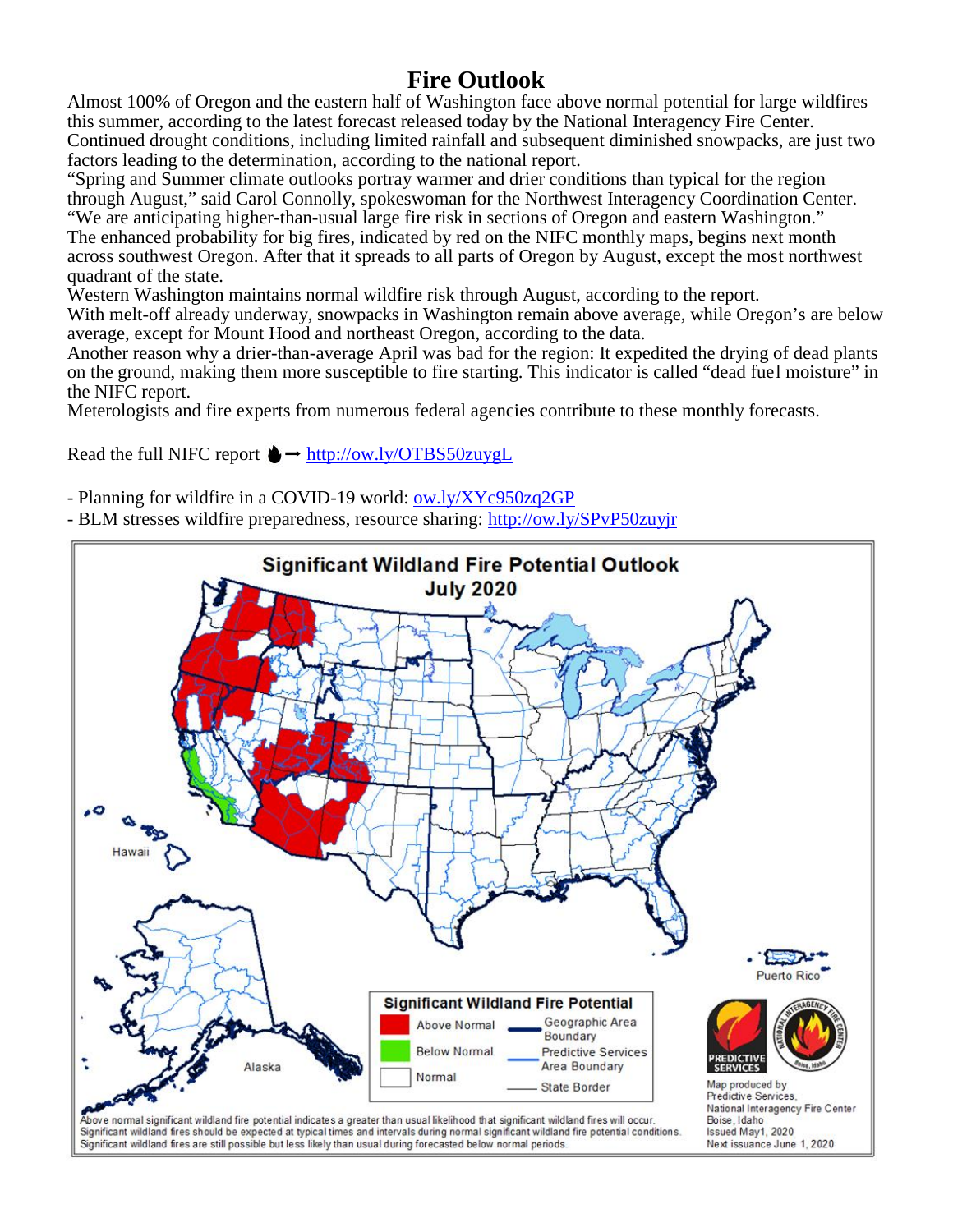# **Fire Outlook**

Almost 100% of Oregon and the eastern half of Washington face above normal potential for large wildfires this summer, according to the latest forecast released today by the National Interagency Fire Center. Continued drought conditions, including limited rainfall and subsequent diminished snowpacks, are just two factors leading to the determination, according to the national report.

"Spring and Summer climate outlooks portray warmer and drier conditions than typical for the region through August," said Carol Connolly, spokeswoman for the Northwest Interagency Coordination Center. "We are anticipating higher-than-usual large fire risk in sections of Oregon and eastern Washington." The enhanced probability for big fires, indicated by red on the NIFC monthly maps, begins next month across southwest Oregon. After that it spreads to all parts of Oregon by August, except the most northwest quadrant of the state.

Western Washington maintains normal wildfire risk through August, according to the report.

With melt-off already underway, snowpacks in Washington remain above average, while Oregon's are below average, except for Mount Hood and northeast Oregon, according to the data.

Another reason why a drier-than-average April was bad for the region: It expedited the drying of dead plants on the ground, making them more susceptible to fire starting. This indicator is called "dead fuel moisture" in the NIFC report.

Meterologists and fire experts from numerous federal agencies contribute to these monthly forecasts.

Read the full NIFC report  $\rightarrow$  http://ow.ly/OTBS50zuygL

- Planning for wildfire in a COVID-19 world: ow.ly/XYc950zq2GP

- BLM stresses wildfire preparedness, resource sharing: http://ow.ly/SPvP50zuyjr

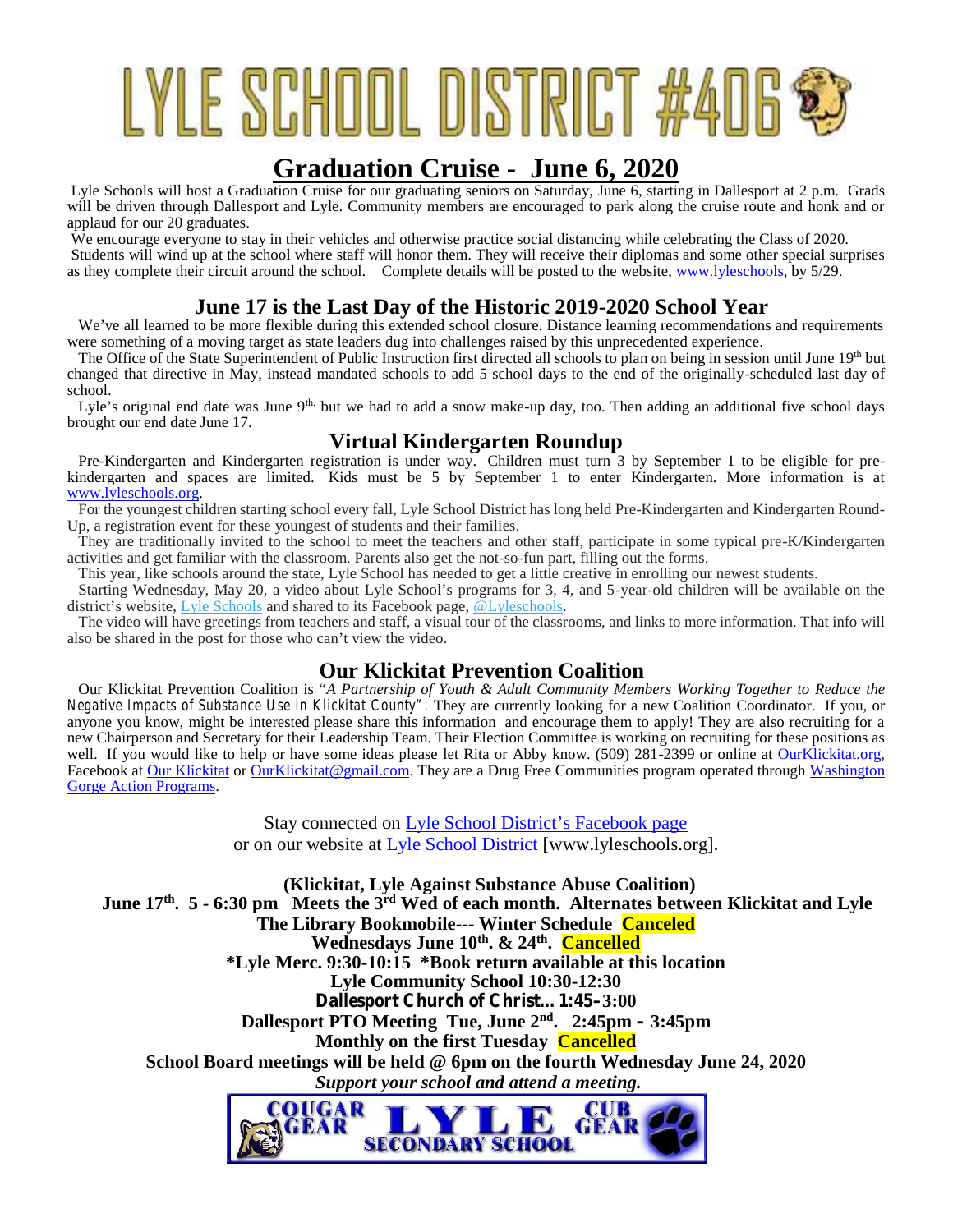# LYLE SCHOOL DISTRICT #406

# **Graduation Cruise - June 6, 2020**

Lyle Schools will host a Graduation Cruise for our graduating seniors on Saturday, June 6, starting in Dallesport at 2 p.m. Grads will be driven through Dallesport and Lyle. Community members are encouraged to park along the cruise route and honk and or applaud for our 20 graduates.

We encourage everyone to stay in their vehicles and otherwise practice social distancing while celebrating the Class of 2020. Students will wind up at the school where staff will honor them. They will receive their diplomas and some other special surprises as they complete their circuit around the school. Complete details will be posted to the website, www.lyleschools, by 5/29.

# **June 17 is the Last Day of the Historic 2019-2020 School Year**

We've all learned to be more flexible during this extended school closure. Distance learning recommendations and requirements were something of a moving target as state leaders dug into challenges raised by this unprecedented experience.

The Office of the State Superintendent of Public Instruction first directed all schools to plan on being in session until June 19<sup>th</sup> but changed that directive in May, instead mandated schools to add 5 school days to the end of the originally-scheduled last day of school.

Lyle's original end date was June 9<sup>th,</sup> but we had to add a snow make-up day, too. Then adding an additional five school days brought our end date June 17.

# **Virtual Kindergarten Roundup**

Pre-Kindergarten and Kindergarten registration is under way. Children must turn 3 by September 1 to be eligible for prekindergarten and spaces are limited. Kids must be 5 by September 1 to enter Kindergarten. More information is at www.lyleschools.org.

For the youngest children starting school every fall, Lyle School District has long held Pre-Kindergarten and Kindergarten Round- Up, a registration event for these youngest of students and their families.

They are traditionally invited to the school to meet the teachers and other staff, participate in some typical pre-K/Kindergarten activities and get familiar with the classroom. Parents also get the not-so-fun part, filling out the forms.

This year, like schools around the state, Lyle School has needed to get a little creative in enrolling our newest students.

Starting Wednesday, May 20, a video about Lyle School's programs for 3, 4, and 5-year-old children will be available on the district's website, Lyle Schools and shared to its Facebook page, @Lyleschools.

The video will have greetings from teachers and staff, a visual tour of the classrooms, and links to more information. That info will also be shared in the post for those who can't view the video.

# **Our Klickitat Prevention Coalition**

Our Klickitat Prevention Coalition is "*A Partnership of Youth & Adult Community Members Working Together to Reduce the Negative Impacts of Substance Use in Klickitat County".* They are currently looking for a new Coalition Coordinator. If you, or anyone you know, might be interested please share this information and encourage them to apply! They are also recruiting for a new Chairperson and Secretary for their Leadership Team. Their Election Committee is working on recruiting for these positions as well. If you would like to help or have some ideas please let Rita or Abby know. (509) 281-2399 or online at OurKlickitat.org, Facebook at Our Klickitat or OurKlickitat@gmail.com. They are a Drug Free Communities program operated through Washington Gorge Action Programs.

> Stay connected on Lyle School District's Facebook page or on our website at Lyle School District [www.lyleschools.org].

**(Klickitat, Lyle Against Substance Abuse Coalition) June 17th. 5 - 6:30 pm Meets the 3rd Wed of each month. Alternates between Klickitat and Lyle The Library Bookmobile--- Winter Schedule Canceled Wednesdays June 10th. & 24th . Cancelled \*Lyle Merc. 9:30-10:15 \*Book return available at this location Lyle Community School 10:30-12:30 Dallesport Church of Christ…1:45–3:00 Dallesport PTO Meeting Tue, June 2nd . 2:45pm – 3:45pm Monthly on the first Tuesday Cancelled School Board meetings will be held @ 6pm on the fourth Wednesday June 24, 2020** *Support your school and attend a meeting.*OUGAR CUB

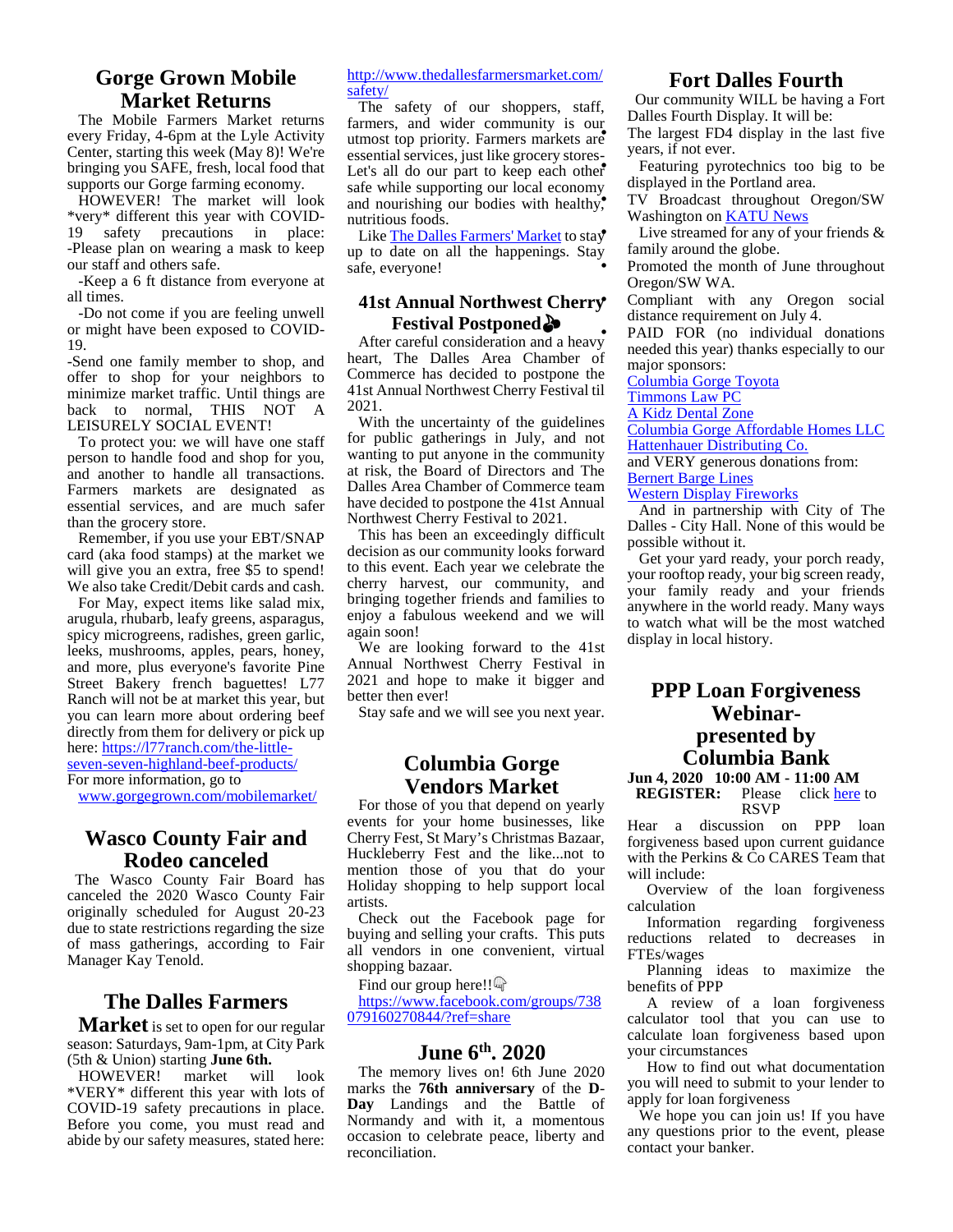# **Gorge Grown Mobile Market Returns**

The Mobile Farmers Market returns every Friday, 4-6pm at the Lyle Activity Center, starting this week (May 8)! We're bringing you SAFE, fresh, local food that supports our Gorge farming economy.

HOWEVER! The market will look \*very\* different this year with COVID- 19 safety precautions in place: -Please plan on wearing a mask to keep our staff and others safe.

-Keep a 6 ft distance from everyone at all times.

-Do not come if you are feeling unwell or might have been exposed to COVID- 19.

-Send one family member to shop, and offer to shop for your neighbors to minimize market traffic. Until things are back to normal, THIS NOT A LEISURELY SOCIAL EVENT!

To protect you: we will have one staff person to handle food and shop for you, and another to handle all transactions. Farmers markets are designated as essential services, and are much safer than the grocery store.

Remember, if you use your EBT/SNAP card (aka food stamps) at the market we will give you an extra, free \$5 to spend! We also take Credit/Debit cards and cash.

For May, expect items like salad mix, arugula, rhubarb, leafy greens, asparagus, spicy microgreens, radishes, green garlic, leeks, mushrooms, apples, pears, honey, and more, plus everyone's favorite Pine Street Bakery french baguettes! L77 Ranch will not be at market this year, but you can learn more about ordering beef directly from them for delivery or pick up here: https://l77ranch.com/the-littleseven-seven-highland-beef-products/ For more information, go to

www.gorgegrown.com/mobilemarket/

# **Wasco County Fair and Rodeo canceled**

The Wasco County Fair Board has canceled the 2020 Wasco County Fair originally scheduled for August 20-23 due to state restrictions regarding the size of mass gatherings, according to Fair Manager Kay Tenold.

# **The Dalles Farmers**

**Market** is set to open for our regular season: Saturdays, 9am-1pm, at City Park (5th & Union) starting **June 6th.**

HOWEVER! market will look \*VERY\* different this year with lots of COVID-19 safety precautions in place. Before you come, you must read and abide by our safety measures, stated here:

#### http://www.thedallesfarmersmarket.com/ safety/

The safety of our shoppers, staff, farmers, and wider community is our utmost top priority. Farmers markets are essential services, just like grocery stores- $\frac{ye}{1}$ Let's all do our part to keep each other  $\frac{1}{1}$ safe while supporting our local economy. and nourishing our bodies with healthy, nutritious foods.

Like The Dalles Farmers' Market to stay up to date on all the happenings. Stay safe, everyone!

# **41st Annual Northwest Cherry Festival Postponed**

After careful consideration and a heavy heart, The Dalles Area Chamber of Commerce has decided to postpone the 41st Annual Northwest Cherry Festival til 2021.

With the uncertainty of the guidelines for public gatherings in July, and not wanting to put anyone in the community at risk, the Board of Directors and The Dalles Area Chamber of Commerce team have decided to postpone the 41st Annual Northwest Cherry Festival to 2021.

This has been an exceedingly difficult decision as our community looks forward to this event. Each year we celebrate the cherry harvest, our community, and bringing together friends and families to enjoy a fabulous weekend and we will again soon!

We are looking forward to the 41st Annual Northwest Cherry Festival in 2021 and hope to make it bigger and better then ever!

Stay safe and we will see you next year.

# **Columbia Gorge Vendors Market**

**VEHOOTS IVIATKEL REGISTER:**<br>For those of you that depend on yearly events for your home businesses, like Cherry Fest, St Mary's Christmas Bazaar, Huckleberry Fest and the like...not to mention those of you that do your Holiday shopping to help support local artists.

Check out the Facebook page for buying and selling your crafts. This puts all vendors in one convenient, virtual shopping bazaar.

Find our group here!!

https://www.facebook.com/groups/738 079160270844/?ref=share

# **June 6th. 2020**

The memory lives on! 6th June 2020 marks the **76th anniversary** of the **D**- **Day** Landings and the Battle of Normandy and with it, a momentous occasion to celebrate peace, liberty and reconciliation.

# **Fort Dalles Fourth**

Our community WILL be having a Fort Dalles Fourth Display. It will be:

 The largest FD4 display in the last five years, if not ever.

 Featuring pyrotechnics too big to be displayed in the Portland area.

 TV Broadcast throughout Oregon/SW Washington on KATU News

 Live streamed for any of your friends & family around the globe.

 Promoted the month of June throughout Oregon/SW WA.

 Compliant with any Oregon social distance requirement on July 4.

PAID FOR (no individual donations) needed this year) thanks especially to our major sponsors:

Columbia Gorge Toyota

Timmons Law PC

A Kidz Dental Zone

Columbia Gorge Affordable Homes LLC Hattenhauer Distributing Co.

and VERY generous donations from: **Bernert Barge Lines** 

Western Display Fireworks

And in partnership with City of The Dalles - City Hall. None of this would be possible without it.

Get your yard ready, your porch ready, your rooftop ready, your big screen ready, your family ready and your friends anywhere in the world ready. Many ways to watch what will be the most watched display in local history.

# **PPP Loan Forgiveness Webinar presented by Columbia Bank**

**Jun 4, 2020 10:00 AM - 11:00 AM** Please click here to RSVP

Hear a discussion on PPP loan forgiveness based upon current guidance with the Perkins & Co CARES Team that will include:

Overview of the loan forgiveness calculation

Information regarding forgiveness reductions related to decreases in FTEs/wages

Planning ideas to maximize the benefits of PPP

A review of a loan forgiveness calculator tool that you can use to calculate loan forgiveness based upon your circumstances

How to find out what documentation you will need to submit to your lender to apply for loan forgiveness

We hope you can join us! If you have any questions prior to the event, please contact your banker.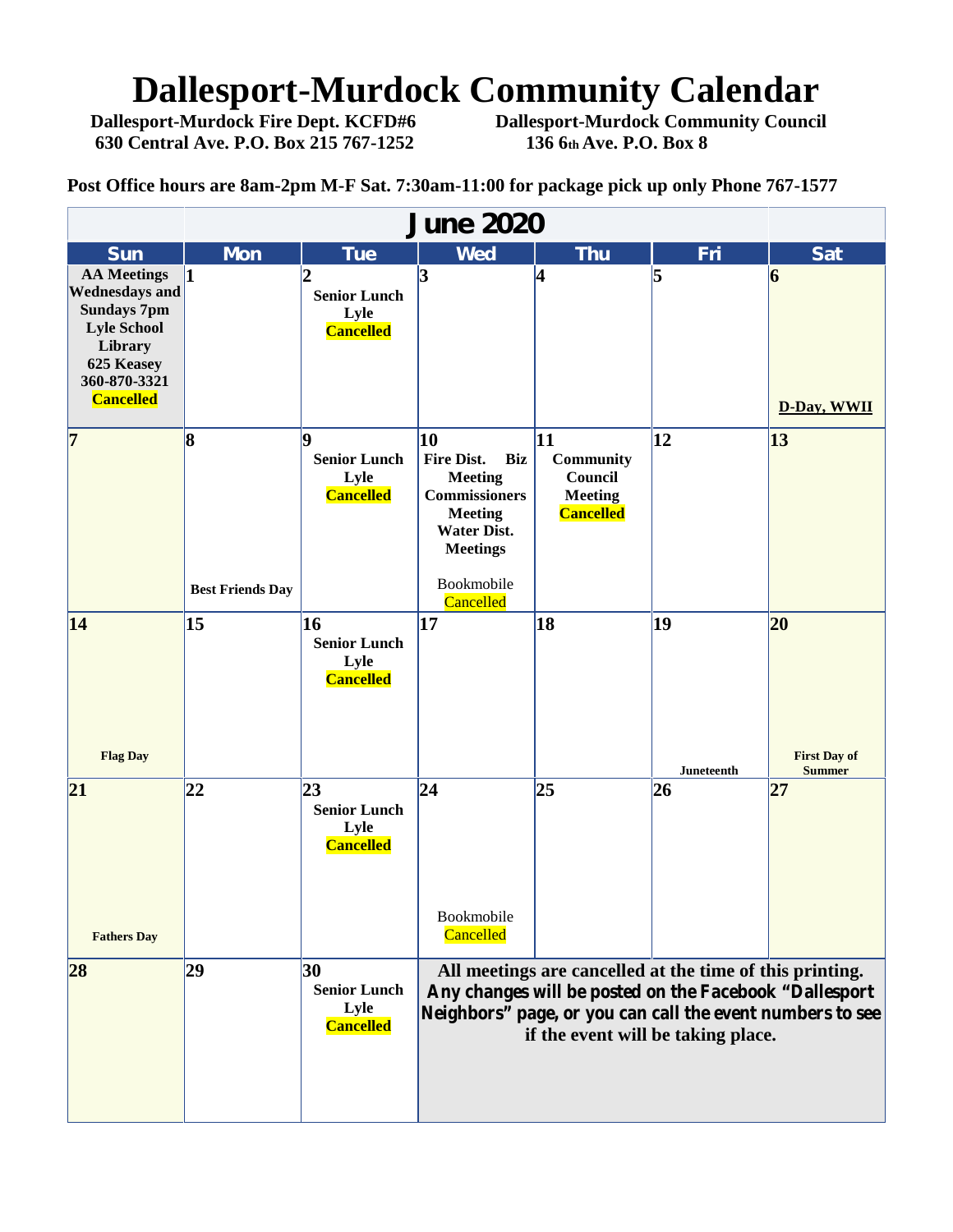# **Dallesport-Murdock Community Calendar**<br>Dallesport-Murdock Fire Dept. KCFD#6 Dallesport-Murdock Community Council

**630 Central Ave. P.O. Box 215 767-1252 136 6th Ave. P.O. Box 8**

**Dallesport-Murdock Community Council** 

**Post Office hours are 8am-2pm M-F Sat. 7:30am-11:00 for package pick up only Phone 767-1577**

| <b>June 2020</b>                                                                                                                                     |                                      |                                                                    |                                                                                                                                                                                                                       |                                                                         |                         |                                            |  |  |
|------------------------------------------------------------------------------------------------------------------------------------------------------|--------------------------------------|--------------------------------------------------------------------|-----------------------------------------------------------------------------------------------------------------------------------------------------------------------------------------------------------------------|-------------------------------------------------------------------------|-------------------------|--------------------------------------------|--|--|
| <b>Sun</b>                                                                                                                                           | <b>Mon</b>                           | <b>Tue</b>                                                         | <b>Wed</b>                                                                                                                                                                                                            | <b>Thu</b>                                                              | Fri                     | <b>Sat</b>                                 |  |  |
| <b>AA</b> Meetings<br><b>Wednesdays and</b><br><b>Sundays 7pm</b><br><b>Lyle School</b><br>Library<br>625 Keasey<br>360-870-3321<br><b>Cancelled</b> |                                      | 12<br><b>Senior Lunch</b><br>Lyle<br><b>Cancelled</b>              | $\mathbf{3}$                                                                                                                                                                                                          | 4                                                                       | 5                       | 6<br>D-Day, WWII                           |  |  |
| $\overline{7}$                                                                                                                                       | $\vert 8$<br><b>Best Friends Day</b> | Q<br><b>Senior Lunch</b><br>Lyle<br><b>Cancelled</b>               | 10<br><b>Fire Dist.</b><br>Biz<br><b>Meeting</b><br><b>Commissioners</b><br><b>Meeting</b><br><b>Water Dist.</b><br><b>Meetings</b><br>Bookmobile<br>Cancelled                                                        | 11<br><b>Community</b><br>Council<br><b>Meeting</b><br><b>Cancelled</b> | $\overline{12}$         | 13                                         |  |  |
| 14<br><b>Flag Day</b>                                                                                                                                | 15                                   | 16<br><b>Senior Lunch</b><br>Lyle<br><b>Cancelled</b>              | 17                                                                                                                                                                                                                    | 18                                                                      | 19<br><b>Juneteenth</b> | 20<br><b>First Day of</b><br><b>Summer</b> |  |  |
| 21<br><b>Fathers Day</b>                                                                                                                             | 22                                   | $\overline{23}$<br><b>Senior Lunch</b><br>Lyle<br><b>Cancelled</b> | 24<br>Bookmobile<br>Cancelled                                                                                                                                                                                         | 25                                                                      | 26                      | 27                                         |  |  |
| 28                                                                                                                                                   | 29                                   | 30<br><b>Senior Lunch</b><br>Lyle<br><b>Cancelled</b>              | All meetings are cancelled at the time of this printing.<br>Any changes will be posted on the Facebook "Dallesport<br>Neighbors" page, or you can call the event numbers to see<br>if the event will be taking place. |                                                                         |                         |                                            |  |  |